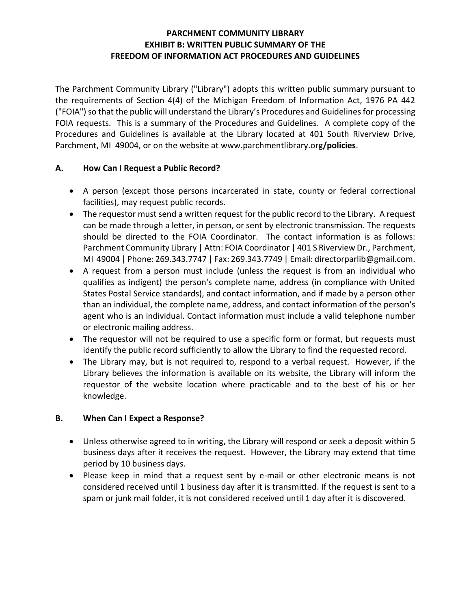### **PARCHMENT COMMUNITY LIBRARY EXHIBIT B: WRITTEN PUBLIC SUMMARY OF THE FREEDOM OF INFORMATION ACT PROCEDURES AND GUIDELINES**

The Parchment Community Library ("Library") adopts this written public summary pursuant to the requirements of Section 4(4) of the Michigan Freedom of Information Act, 1976 PA 442 ("FOIA") so that the public will understand the Library's Procedures and Guidelines for processing FOIA requests. This is a summary of the Procedures and Guidelines. A complete copy of the Procedures and Guidelines is available at the Library located at 401 South Riverview Drive, Parchment, MI 49004, or on the website at www.parchmentlibrary.org**/policies**.

### **A. How Can I Request a Public Record?**

- A person (except those persons incarcerated in state, county or federal correctional facilities), may request public records.
- The requestor must send a written request for the public record to the Library. A request can be made through a letter, in person, or sent by electronic transmission. The requests should be directed to the FOIA Coordinator. The contact information is as follows: Parchment Community Library | Attn: FOIA Coordinator | 401 S Riverview Dr., Parchment, MI 49004 | Phone: 269.343.7747 | Fax: 269.343.7749 | Email: directorparlib@gmail.com.
- A request from a person must include (unless the request is from an individual who qualifies as indigent) the person's complete name, address (in compliance with United States Postal Service standards), and contact information, and if made by a person other than an individual, the complete name, address, and contact information of the person's agent who is an individual. Contact information must include a valid telephone number or electronic mailing address.
- The requestor will not be required to use a specific form or format, but requests must identify the public record sufficiently to allow the Library to find the requested record.
- The Library may, but is not required to, respond to a verbal request. However, if the Library believes the information is available on its website, the Library will inform the requestor of the website location where practicable and to the best of his or her knowledge.

# **B. When Can I Expect a Response?**

- Unless otherwise agreed to in writing, the Library will respond or seek a deposit within 5 business days after it receives the request. However, the Library may extend that time period by 10 business days.
- Please keep in mind that a request sent by e-mail or other electronic means is not considered received until 1 business day after it is transmitted. If the request is sent to a spam or junk mail folder, it is not considered received until 1 day after it is discovered.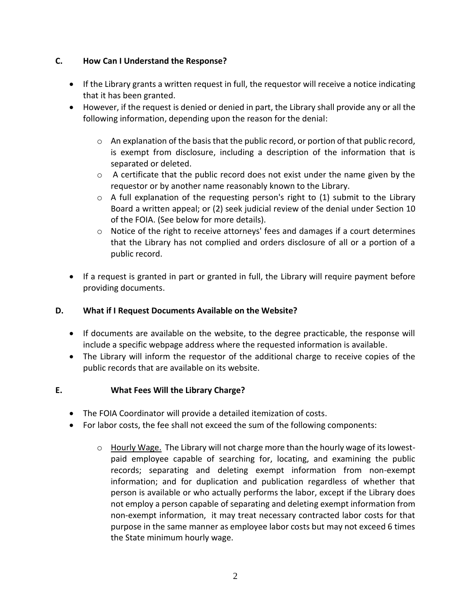### **C. How Can I Understand the Response?**

- If the Library grants a written request in full, the requestor will receive a notice indicating that it has been granted.
- However, if the request is denied or denied in part, the Library shall provide any or all the following information, depending upon the reason for the denial:
	- $\circ$  An explanation of the basis that the public record, or portion of that public record, is exempt from disclosure, including a description of the information that is separated or deleted.
	- $\circ$  A certificate that the public record does not exist under the name given by the requestor or by another name reasonably known to the Library.
	- $\circ$  A full explanation of the requesting person's right to (1) submit to the Library Board a written appeal; or (2) seek judicial review of the denial under Section 10 of the FOIA. (See below for more details).
	- $\circ$  Notice of the right to receive attorneys' fees and damages if a court determines that the Library has not complied and orders disclosure of all or a portion of a public record.
- If a request is granted in part or granted in full, the Library will require payment before providing documents.

# **D. What if I Request Documents Available on the Website?**

- If documents are available on the website, to the degree practicable, the response will include a specific webpage address where the requested information is available.
- The Library will inform the requestor of the additional charge to receive copies of the public records that are available on its website.

### **E. What Fees Will the Library Charge?**

- The FOIA Coordinator will provide a detailed itemization of costs.
- For labor costs, the fee shall not exceed the sum of the following components:
	- $\circ$  Hourly Wage. The Library will not charge more than the hourly wage of its lowestpaid employee capable of searching for, locating, and examining the public records; separating and deleting exempt information from non-exempt information; and for duplication and publication regardless of whether that person is available or who actually performs the labor, except if the Library does not employ a person capable of separating and deleting exempt information from non-exempt information, it may treat necessary contracted labor costs for that purpose in the same manner as employee labor costs but may not exceed 6 times the State minimum hourly wage.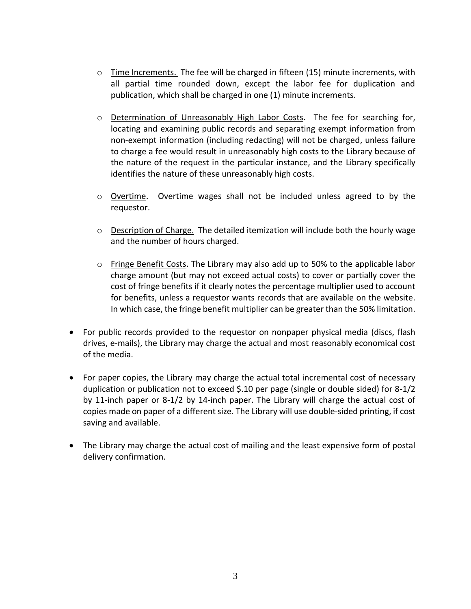- $\circ$  Time Increments. The fee will be charged in fifteen (15) minute increments, with all partial time rounded down, except the labor fee for duplication and publication, which shall be charged in one (1) minute increments.
- o Determination of Unreasonably High Labor Costs. The fee for searching for, locating and examining public records and separating exempt information from non-exempt information (including redacting) will not be charged, unless failure to charge a fee would result in unreasonably high costs to the Library because of the nature of the request in the particular instance, and the Library specifically identifies the nature of these unreasonably high costs.
- o Overtime. Overtime wages shall not be included unless agreed to by the requestor.
- o Description of Charge. The detailed itemization will include both the hourly wage and the number of hours charged.
- $\circ$  Fringe Benefit Costs. The Library may also add up to 50% to the applicable labor charge amount (but may not exceed actual costs) to cover or partially cover the cost of fringe benefits if it clearly notes the percentage multiplier used to account for benefits, unless a requestor wants records that are available on the website. In which case, the fringe benefit multiplier can be greater than the 50% limitation.
- For public records provided to the requestor on nonpaper physical media (discs, flash drives, e-mails), the Library may charge the actual and most reasonably economical cost of the media.
- For paper copies, the Library may charge the actual total incremental cost of necessary duplication or publication not to exceed \$.10 per page (single or double sided) for 8-1/2 by 11-inch paper or 8-1/2 by 14-inch paper. The Library will charge the actual cost of copies made on paper of a different size. The Library will use double-sided printing, if cost saving and available.
- The Library may charge the actual cost of mailing and the least expensive form of postal delivery confirmation.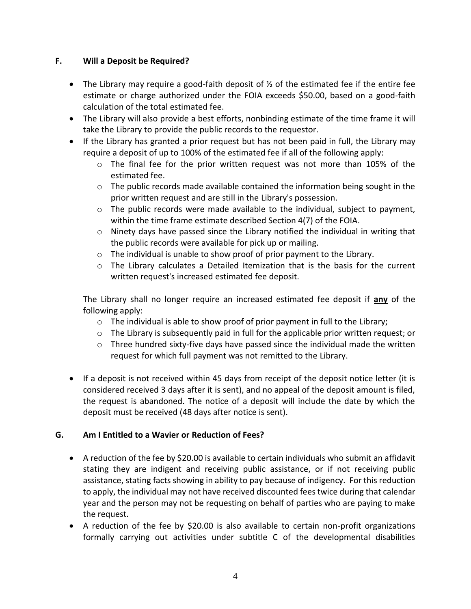## **F. Will a Deposit be Required?**

- The Library may require a good-faith deposit of  $\frac{1}{2}$  of the estimated fee if the entire fee estimate or charge authorized under the FOIA exceeds \$50.00, based on a good-faith calculation of the total estimated fee.
- The Library will also provide a best efforts, nonbinding estimate of the time frame it will take the Library to provide the public records to the requestor.
- If the Library has granted a prior request but has not been paid in full, the Library may require a deposit of up to 100% of the estimated fee if all of the following apply:
	- $\circ$  The final fee for the prior written request was not more than 105% of the estimated fee.
	- $\circ$  The public records made available contained the information being sought in the prior written request and are still in the Library's possession.
	- $\circ$  The public records were made available to the individual, subject to payment, within the time frame estimate described Section 4(7) of the FOIA.
	- $\circ$  Ninety days have passed since the Library notified the individual in writing that the public records were available for pick up or mailing.
	- o The individual is unable to show proof of prior payment to the Library.
	- $\circ$  The Library calculates a Detailed Itemization that is the basis for the current written request's increased estimated fee deposit.

The Library shall no longer require an increased estimated fee deposit if **any** of the following apply:

- $\circ$  The individual is able to show proof of prior payment in full to the Library;
- o The Library is subsequently paid in full for the applicable prior written request; or
- o Three hundred sixty-five days have passed since the individual made the written request for which full payment was not remitted to the Library.
- If a deposit is not received within 45 days from receipt of the deposit notice letter (it is considered received 3 days after it is sent), and no appeal of the deposit amount is filed, the request is abandoned. The notice of a deposit will include the date by which the deposit must be received (48 days after notice is sent).

### **G. Am I Entitled to a Wavier or Reduction of Fees?**

- A reduction of the fee by \$20.00 is available to certain individuals who submit an affidavit stating they are indigent and receiving public assistance, or if not receiving public assistance, stating facts showing in ability to pay because of indigency. For this reduction to apply, the individual may not have received discounted fees twice during that calendar year and the person may not be requesting on behalf of parties who are paying to make the request.
- A reduction of the fee by \$20.00 is also available to certain non-profit organizations formally carrying out activities under subtitle C of the developmental disabilities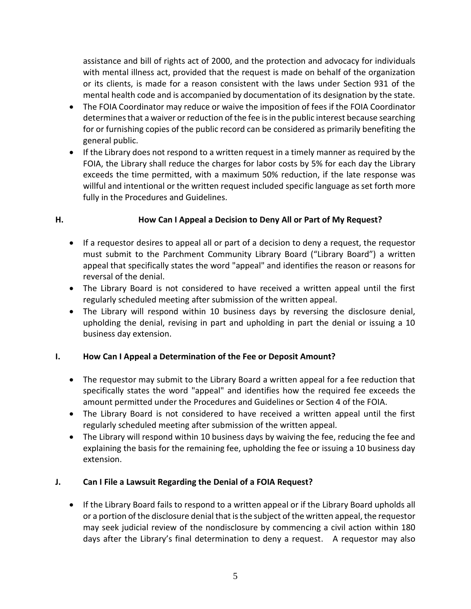assistance and bill of rights act of 2000, and the protection and advocacy for individuals with mental illness act, provided that the request is made on behalf of the organization or its clients, is made for a reason consistent with the laws under Section 931 of the mental health code and is accompanied by documentation of its designation by the state.

- The FOIA Coordinator may reduce or waive the imposition of fees if the FOIA Coordinator determines that a waiver or reduction of the fee is in the public interest because searching for or furnishing copies of the public record can be considered as primarily benefiting the general public.
- If the Library does not respond to a written request in a timely manner as required by the FOIA, the Library shall reduce the charges for labor costs by 5% for each day the Library exceeds the time permitted, with a maximum 50% reduction, if the late response was willful and intentional or the written request included specific language as set forth more fully in the Procedures and Guidelines.

## **H. How Can I Appeal a Decision to Deny All or Part of My Request?**

- If a requestor desires to appeal all or part of a decision to deny a request, the requestor must submit to the Parchment Community Library Board ("Library Board") a written appeal that specifically states the word "appeal" and identifies the reason or reasons for reversal of the denial.
- The Library Board is not considered to have received a written appeal until the first regularly scheduled meeting after submission of the written appeal.
- The Library will respond within 10 business days by reversing the disclosure denial, upholding the denial, revising in part and upholding in part the denial or issuing a 10 business day extension.

### **I. How Can I Appeal a Determination of the Fee or Deposit Amount?**

- The requestor may submit to the Library Board a written appeal for a fee reduction that specifically states the word "appeal" and identifies how the required fee exceeds the amount permitted under the Procedures and Guidelines or Section 4 of the FOIA.
- The Library Board is not considered to have received a written appeal until the first regularly scheduled meeting after submission of the written appeal.
- The Library will respond within 10 business days by waiving the fee, reducing the fee and explaining the basis for the remaining fee, upholding the fee or issuing a 10 business day extension.

# **J. Can I File a Lawsuit Regarding the Denial of a FOIA Request?**

 If the Library Board fails to respond to a written appeal or if the Library Board upholds all or a portion of the disclosure denial that is the subject of the written appeal, the requestor may seek judicial review of the nondisclosure by commencing a civil action within 180 days after the Library's final determination to deny a request. A requestor may also